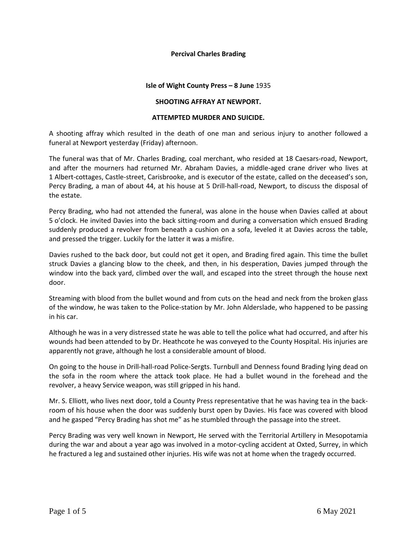## **Percival Charles Brading**

## **Isle of Wight County Press – 8 June** 1935

## **SHOOTING AFFRAY AT NEWPORT.**

### **ATTEMPTED MURDER AND SUICIDE.**

A shooting affray which resulted in the death of one man and serious injury to another followed a funeral at Newport yesterday (Friday) afternoon.

The funeral was that of Mr. Charles Brading, coal merchant, who resided at 18 Caesars-road, Newport, and after the mourners had returned Mr. Abraham Davies, a middle-aged crane driver who lives at 1 Albert-cottages, Castle-street, Carisbrooke, and is executor of the estate, called on the deceased's son, Percy Brading, a man of about 44, at his house at 5 Drill-hall-road, Newport, to discuss the disposal of the estate.

Percy Brading, who had not attended the funeral, was alone in the house when Davies called at about 5 o'clock. He invited Davies into the back sitting-room and during a conversation which ensued Brading suddenly produced a revolver from beneath a cushion on a sofa, leveled it at Davies across the table, and pressed the trigger. Luckily for the latter it was a misfire.

Davies rushed to the back door, but could not get it open, and Brading fired again. This time the bullet struck Davies a glancing blow to the cheek, and then, in his desperation, Davies jumped through the window into the back yard, climbed over the wall, and escaped into the street through the house next door.

Streaming with blood from the bullet wound and from cuts on the head and neck from the broken glass of the window, he was taken to the Police-station by Mr. John Alderslade, who happened to be passing in his car.

Although he was in a very distressed state he was able to tell the police what had occurred, and after his wounds had been attended to by Dr. Heathcote he was conveyed to the County Hospital. His injuries are apparently not grave, although he lost a considerable amount of blood.

On going to the house in Drill-hall-road Police-Sergts. Turnbull and Denness found Brading lying dead on the sofa in the room where the attack took place. He had a bullet wound in the forehead and the revolver, a heavy Service weapon, was still gripped in his hand.

Mr. S. Elliott, who lives next door, told a County Press representative that he was having tea in the backroom of his house when the door was suddenly burst open by Davies. His face was covered with blood and he gasped "Percy Brading has shot me" as he stumbled through the passage into the street.

Percy Brading was very well known in Newport, He served with the Territorial Artillery in Mesopotamia during the war and about a year ago was involved in a motor-cycling accident at Oxted, Surrey, in which he fractured a leg and sustained other injuries. His wife was not at home when the tragedy occurred.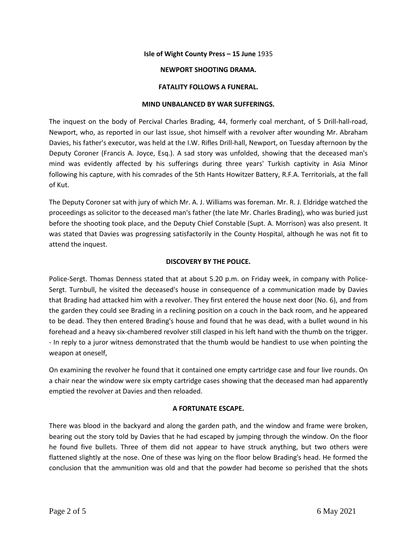## **Isle of Wight County Press – 15 June** 1935

## **NEWPORT SHOOTING DRAMA.**

## **FATALITY FOLLOWS A FUNERAL.**

## **MIND UNBALANCED BY WAR SUFFERINGS.**

The inquest on the body of Percival Charles Brading, 44, formerly coal merchant, of 5 Drill-hall-road, Newport, who, as reported in our last issue, shot himself with a revolver after wounding Mr. Abraham Davies, his father's executor, was held at the I.W. Rifles Drill-hall, Newport, on Tuesday afternoon by the Deputy Coroner (Francis A. Joyce, Esq.). A sad story was unfolded, showing that the deceased man's mind was evidently affected by his sufferings during three years' Turkish captivity in Asia Minor following his capture, with his comrades of the 5th Hants Howitzer Battery, R.F.A. Territorials, at the fall of Kut.

The Deputy Coroner sat with jury of which Mr. A. J. Williams was foreman. Mr. R. J. Eldridge watched the proceedings as solicitor to the deceased man's father (the late Mr. Charles Brading), who was buried just before the shooting took place, and the Deputy Chief Constable (Supt. A. Morrison) was also present. It was stated that Davies was progressing satisfactorily in the County Hospital, although he was not fit to attend the inquest.

## **DISCOVERY BY THE POLICE.**

Police-Sergt. Thomas Denness stated that at about 5.20 p.m. on Friday week, in company with Police-Sergt. Turnbull, he visited the deceased's house in consequence of a communication made by Davies that Brading had attacked him with a revolver. They first entered the house next door (No. 6), and from the garden they could see Brading in a reclining position on a couch in the back room, and he appeared to be dead. They then entered Brading's house and found that he was dead, with a bullet wound in his forehead and a heavy six-chambered revolver still clasped in his left hand with the thumb on the trigger. - In reply to a juror witness demonstrated that the thumb would be handiest to use when pointing the weapon at oneself,

On examining the revolver he found that it contained one empty cartridge case and four live rounds. On a chair near the window were six empty cartridge cases showing that the deceased man had apparently emptied the revolver at Davies and then reloaded.

#### **A FORTUNATE ESCAPE.**

There was blood in the backyard and along the garden path, and the window and frame were broken, bearing out the story told by Davies that he had escaped by jumping through the window. On the floor he found five bullets. Three of them did not appear to have struck anything, but two others were flattened slightly at the nose. One of these was lying on the floor below Brading's head. He formed the conclusion that the ammunition was old and that the powder had become so perished that the shots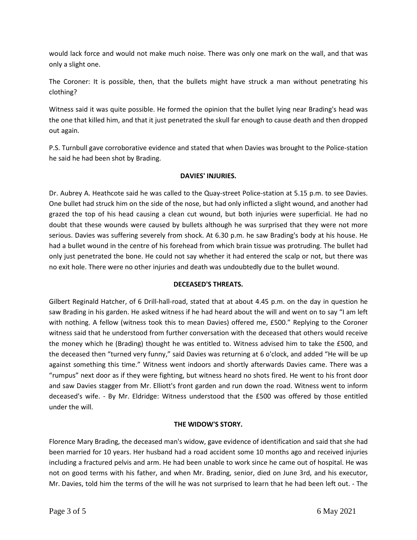would lack force and would not make much noise. There was only one mark on the wall, and that was only a slight one.

The Coroner: It is possible, then, that the bullets might have struck a man without penetrating his clothing?

Witness said it was quite possible. He formed the opinion that the bullet lying near Brading's head was the one that killed him, and that it just penetrated the skull far enough to cause death and then dropped out again.

P.S. Turnbull gave corroborative evidence and stated that when Davies was brought to the Police-station he said he had been shot by Brading.

# **DAVIES' INJURIES.**

Dr. Aubrey A. Heathcote said he was called to the Quay-street Police-station at 5.15 p.m. to see Davies. One bullet had struck him on the side of the nose, but had only inflicted a slight wound, and another had grazed the top of his head causing a clean cut wound, but both injuries were superficial. He had no doubt that these wounds were caused by bullets although he was surprised that they were not more serious. Davies was suffering severely from shock. At 6.30 p.m. he saw Brading's body at his house. He had a bullet wound in the centre of his forehead from which brain tissue was protruding. The bullet had only just penetrated the bone. He could not say whether it had entered the scalp or not, but there was no exit hole. There were no other injuries and death was undoubtedly due to the bullet wound.

## **DECEASED'S THREATS.**

Gilbert Reginald Hatcher, of 6 Drill-hall-road, stated that at about 4.45 p.m. on the day in question he saw Brading in his garden. He asked witness if he had heard about the will and went on to say "I am left with nothing. A fellow (witness took this to mean Davies) offered me, £500." Replying to the Coroner witness said that he understood from further conversation with the deceased that others would receive the money which he (Brading) thought he was entitled to. Witness advised him to take the £500, and the deceased then "turned very funny," said Davies was returning at 6 o'clock, and added "He will be up against something this time." Witness went indoors and shortly afterwards Davies came. There was a "rumpus" next door as if they were fighting, but witness heard no shots fired. He went to his front door and saw Davies stagger from Mr. Elliott's front garden and run down the road. Witness went to inform deceased's wife. - By Mr. Eldridge: Witness understood that the £500 was offered by those entitled under the will.

# **THE WIDOW'S STORY.**

Florence Mary Brading, the deceased man's widow, gave evidence of identification and said that she had been married for 10 years. Her husband had a road accident some 10 months ago and received injuries including a fractured pelvis and arm. He had been unable to work since he came out of hospital. He was not on good terms with his father, and when Mr. Brading, senior, died on June 3rd, and his executor, Mr. Davies, told him the terms of the will he was not surprised to learn that he had been left out. - The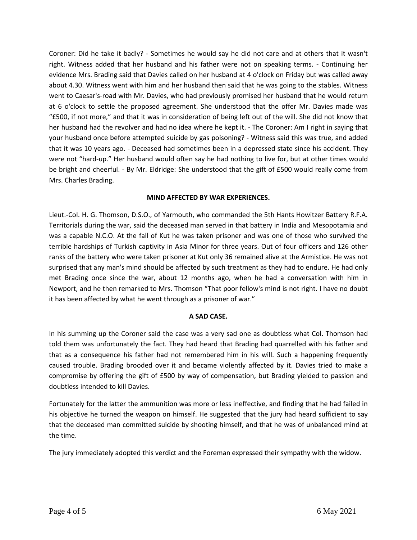Coroner: Did he take it badly? - Sometimes he would say he did not care and at others that it wasn't right. Witness added that her husband and his father were not on speaking terms. - Continuing her evidence Mrs. Brading said that Davies called on her husband at 4 o'clock on Friday but was called away about 4.30. Witness went with him and her husband then said that he was going to the stables. Witness went to Caesar's-road with Mr. Davies, who had previously promised her husband that he would return at 6 o'clock to settle the proposed agreement. She understood that the offer Mr. Davies made was "£500, if not more," and that it was in consideration of being left out of the will. She did not know that her husband had the revolver and had no idea where he kept it. - The Coroner: Am I right in saying that your husband once before attempted suicide by gas poisoning? - Witness said this was true, and added that it was 10 years ago. - Deceased had sometimes been in a depressed state since his accident. They were not "hard-up." Her husband would often say he had nothing to live for, but at other times would be bright and cheerful. - By Mr. Eldridge: She understood that the gift of £500 would really come from Mrs. Charles Brading.

## **MIND AFFECTED BY WAR EXPERIENCES.**

Lieut.-Col. H. G. Thomson, D.S.O., of Yarmouth, who commanded the 5th Hants Howitzer Battery R.F.A. Territorials during the war, said the deceased man served in that battery in India and Mesopotamia and was a capable N.C.O. At the fall of Kut he was taken prisoner and was one of those who survived the terrible hardships of Turkish captivity in Asia Minor for three years. Out of four officers and 126 other ranks of the battery who were taken prisoner at Kut only 36 remained alive at the Armistice. He was not surprised that any man's mind should be affected by such treatment as they had to endure. He had only met Brading once since the war, about 12 months ago, when he had a conversation with him in Newport, and he then remarked to Mrs. Thomson "That poor fellow's mind is not right. I have no doubt it has been affected by what he went through as a prisoner of war."

# **A SAD CASE.**

In his summing up the Coroner said the case was a very sad one as doubtless what Col. Thomson had told them was unfortunately the fact. They had heard that Brading had quarrelled with his father and that as a consequence his father had not remembered him in his will. Such a happening frequently caused trouble. Brading brooded over it and became violently affected by it. Davies tried to make a compromise by offering the gift of £500 by way of compensation, but Brading yielded to passion and doubtless intended to kill Davies.

Fortunately for the latter the ammunition was more or less ineffective, and finding that he had failed in his objective he turned the weapon on himself. He suggested that the jury had heard sufficient to say that the deceased man committed suicide by shooting himself, and that he was of unbalanced mind at the time.

The jury immediately adopted this verdict and the Foreman expressed their sympathy with the widow.